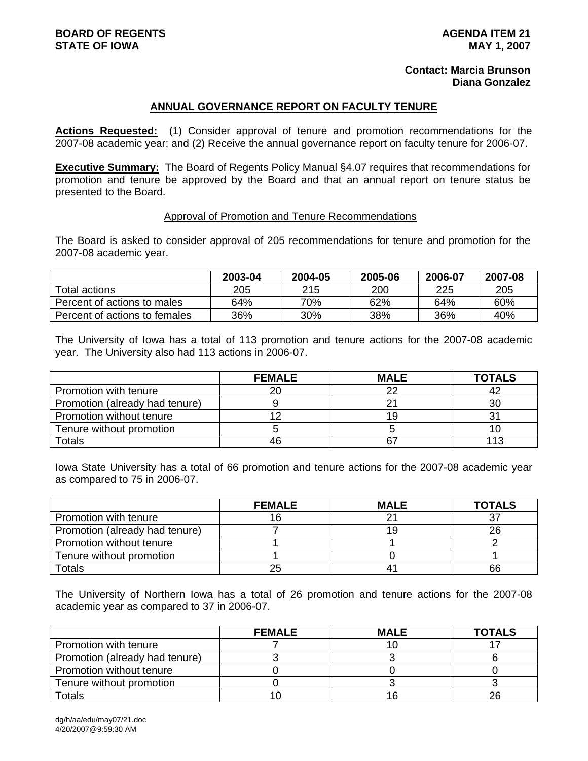#### **Contact: Marcia Brunson Diana Gonzalez**

#### **ANNUAL GOVERNANCE REPORT ON FACULTY TENURE**

**Actions Requested:** (1) Consider approval of tenure and promotion recommendations for the 2007-08 academic year; and (2) Receive the annual governance report on faculty tenure for 2006-07.

**Executive Summary:** The Board of Regents Policy Manual §4.07 requires that recommendations for promotion and tenure be approved by the Board and that an annual report on tenure status be presented to the Board.

#### Approval of Promotion and Tenure Recommendations

The Board is asked to consider approval of 205 recommendations for tenure and promotion for the 2007-08 academic year.

|                               | 2003-04 | 2004-05 | 2005-06 | 2006-07 | 2007-08 |
|-------------------------------|---------|---------|---------|---------|---------|
| Total actions                 | 205     | 215     | 200     | 225     | 205     |
| Percent of actions to males   | 64%     | 70%     | 62%     | 64%     | 60%     |
| Percent of actions to females | 36%     | 30%     | 38%     | 36%     | 40%     |

The University of Iowa has a total of 113 promotion and tenure actions for the 2007-08 academic year. The University also had 113 actions in 2006-07.

|                                | <b>FEMALE</b> | <b>MALE</b> | <b>TOTALS</b> |
|--------------------------------|---------------|-------------|---------------|
| Promotion with tenure          | 20            | つつ          | 42            |
| Promotion (already had tenure) |               |             | 30            |
| Promotion without tenure       |               | 19          |               |
| Tenure without promotion       |               |             |               |
| <b>Totals</b>                  | 46            | 67          | 113           |

Iowa State University has a total of 66 promotion and tenure actions for the 2007-08 academic year as compared to 75 in 2006-07.

|                                | <b>FEMALE</b> | <b>MALE</b> | <b>TOTALS</b> |
|--------------------------------|---------------|-------------|---------------|
| Promotion with tenure          |               |             |               |
| Promotion (already had tenure) |               | 19          | 26            |
| Promotion without tenure       |               |             |               |
| Tenure without promotion       |               |             |               |
| Totals                         | 25            |             | 66            |

The University of Northern Iowa has a total of 26 promotion and tenure actions for the 2007-08 academic year as compared to 37 in 2006-07.

|                                | <b>FEMALE</b> | <b>MALE</b> | <b>TOTALS</b> |
|--------------------------------|---------------|-------------|---------------|
| Promotion with tenure          |               |             |               |
| Promotion (already had tenure) |               |             |               |
| Promotion without tenure       |               |             |               |
| Tenure without promotion       |               |             |               |
| Totals                         |               |             | 26            |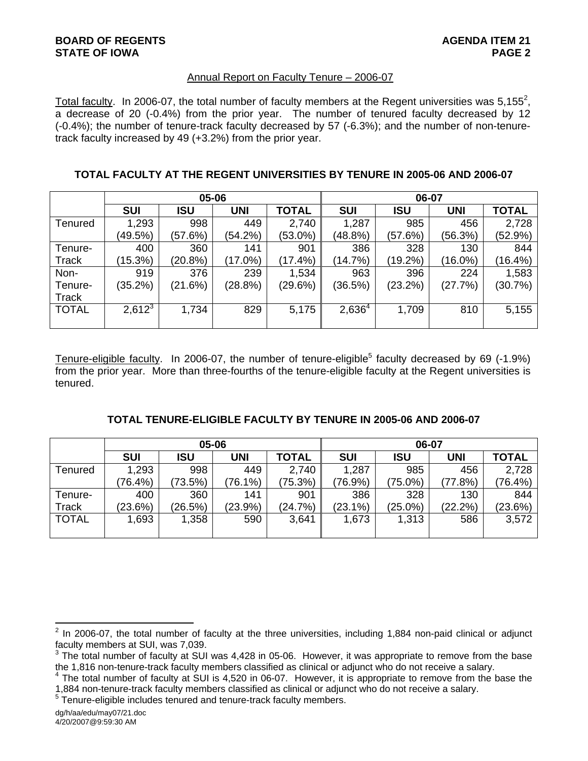### Annual Report on Faculty Tenure – 2006-07

Total faculty. In 2006-07, the total number of faculty members at the Regent universities was 5,155<sup>2</sup>, a decrease of 20 (-0.4%) from the prior year. The number of tenured faculty decreased by 12 (-0.4%); the number of tenure-track faculty decreased by 57 (-6.3%); and the number of non-tenuretrack faculty increased by 49 (+3.2%) from the prior year.

|  |  | TOTAL FACULTY AT THE REGENT UNIVERSITIES BY TENURE IN 2005-06 AND 2006-07 |  |  |  |
|--|--|---------------------------------------------------------------------------|--|--|--|
|  |  |                                                                           |  |  |  |

|                |            | 05-06      |            |              | 06-07       |            |            |              |  |
|----------------|------------|------------|------------|--------------|-------------|------------|------------|--------------|--|
|                | <b>SUI</b> | <b>ISU</b> | <b>UNI</b> | <b>TOTAL</b> | <b>SUI</b>  | ISU        | <b>UNI</b> | <b>TOTAL</b> |  |
| <b>Tenured</b> | 1,293      | 998        | 449        | 2,740        | 1,287       | 985        | 456        | 2,728        |  |
|                | (49.5%)    | (57.6%)    | (54.2%)    | (53.0%)      | (48.8%)     | (57.6%)    | (56.3%)    | (52.9%)      |  |
| Tenure-        | 400        | 360        | 141        | 901          | 386         | 328        | 130        | 844          |  |
| <b>Track</b>   | (15.3%)    | (20.8%)    | $(17.0\%)$ | $(17.4\%)$   | (14.7%)     | $(19.2\%)$ | (16.0%)    | $(16.4\%)$   |  |
| Non-           | 919        | 376        | 239        | 1,534        | 963         | 396        | 224        | 1,583        |  |
| Tenure-        | (35.2%)    | (21.6%)    | (28.8%)    | (29.6%)      | (36.5%)     | (23.2%)    | (27.7%)    | (30.7%)      |  |
| <b>Track</b>   |            |            |            |              |             |            |            |              |  |
| <b>TOTAL</b>   | $2,612^3$  | 1,734      | 829        | 5,175        | $2,636^{4}$ | 1,709      | 810        | 5,155        |  |
|                |            |            |            |              |             |            |            |              |  |

Tenure-eligible faculty. In 2006-07, the number of tenure-eligible<sup>5</sup> faculty decreased by 69 (-1.9%) from the prior year. More than three-fourths of the tenure-eligible faculty at the Regent universities is tenured.

|              |            |         | 05-06      |              | 06-07      |            |            |              |  |
|--------------|------------|---------|------------|--------------|------------|------------|------------|--------------|--|
|              | <b>SUI</b> | ISU     | <b>UNI</b> | <b>TOTAL</b> | <b>SUI</b> | ISU        | <b>UNI</b> | <b>TOTAL</b> |  |
| Tenured      | 1,293      | 998     | 449        | 2,740        | 1,287      | 985        | 456        | 2,728        |  |
|              | $(76.4\%)$ | (73.5%) | $(76.1\%)$ | 75.3%)       | $(76.9\%)$ | $(75.0\%)$ | (77.8%)    | $(76.4\%)$   |  |
| Tenure-      | 400        | 360     | 141        | 901          | 386        | 328        | 130        | 844          |  |
| <b>Track</b> | (23.6%)    | (26.5%) | (23.9%)    | (24.7%)      | $(23.1\%)$ | $(25.0\%)$ | (22.2%)    | (23.6%)      |  |
| <b>TOTAL</b> | 1,693      | 1,358   | 590        | 3,641        | 1,673      | 1,313      | 586        | 3,572        |  |
|              |            |         |            |              |            |            |            |              |  |

 $5$  Tenure-eligible includes tenured and tenure-track faculty members.

<sup>&</sup>lt;u>2</u><br><sup>2</sup> In 2006-07, the total number of faculty at the three universities, including 1,884 non-paid clinical or adjunct faculty members at SUI, was 7,039.<br><sup>3</sup> The tatal number of faculty at SUI.

The total number of faculty at SUI was 4,428 in 05-06. However, it was appropriate to remove from the base the 1,816 non-tenure-track faculty members classified as clinical or adjunct who do not receive a salary.

<sup>&</sup>lt;sup>4</sup> The total number of faculty at SUI is 4,520 in 06-07. However, it is appropriate to remove from the base the 1,884 non-tenure-track faculty members classified as clinical or adjunct who do not receive a salary. 5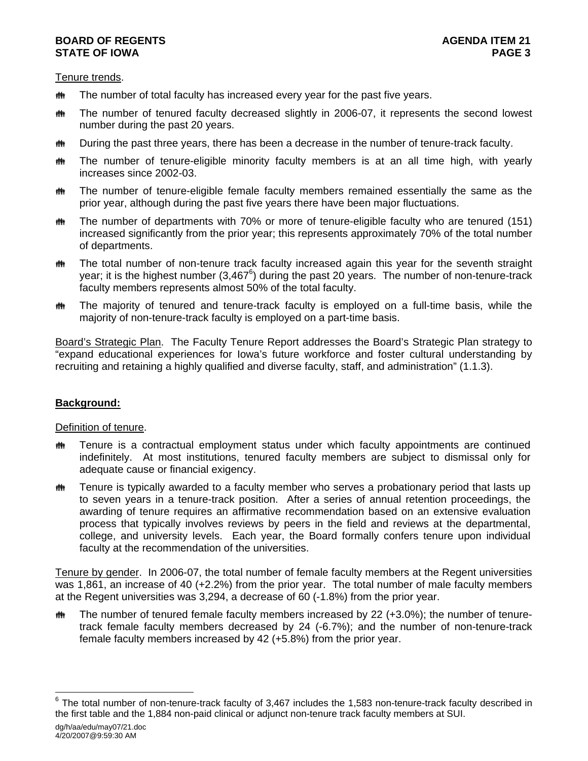### **BOARD OF REGENTS** AGENER AGENER AGENER 21 **STATE OF IOWA** PAGE 3

Tenure trends.

- $m$  The number of total faculty has increased every year for the past five years.
- $m$  The number of tenured faculty decreased slightly in 2006-07, it represents the second lowest number during the past 20 years.
- $m$  During the past three years, there has been a decrease in the number of tenure-track faculty.
- $m$  The number of tenure-eligible minority faculty members is at an all time high, with yearly increases since 2002-03.
- $m$  The number of tenure-eligible female faculty members remained essentially the same as the prior year, although during the past five years there have been major fluctuations.
- **\*\*** The number of departments with 70% or more of tenure-eligible faculty who are tenured (151) increased significantly from the prior year; this represents approximately 70% of the total number of departments.
- $m$  The total number of non-tenure track faculty increased again this year for the seventh straight year; it is the highest number (3,467<sup>6</sup>) during the past 20 years. The number of non-tenure-track faculty members represents almost 50% of the total faculty.
- the The majority of tenured and tenure-track faculty is employed on a full-time basis, while the majority of non-tenure-track faculty is employed on a part-time basis.

Board's Strategic Plan. The Faculty Tenure Report addresses the Board's Strategic Plan strategy to "expand educational experiences for Iowa's future workforce and foster cultural understanding by recruiting and retaining a highly qualified and diverse faculty, staff, and administration" (1.1.3).

# **Background:**

# Definition of tenure.

- $m$  Tenure is a contractual employment status under which faculty appointments are continued indefinitely. At most institutions, tenured faculty members are subject to dismissal only for adequate cause or financial exigency.
- $\ddot{\mathbf{m}}$  Tenure is typically awarded to a faculty member who serves a probationary period that lasts up to seven years in a tenure-track position. After a series of annual retention proceedings, the awarding of tenure requires an affirmative recommendation based on an extensive evaluation process that typically involves reviews by peers in the field and reviews at the departmental, college, and university levels. Each year, the Board formally confers tenure upon individual faculty at the recommendation of the universities.

Tenure by gender. In 2006-07, the total number of female faculty members at the Regent universities was 1,861, an increase of 40 (+2.2%) from the prior year. The total number of male faculty members at the Regent universities was 3,294, a decrease of 60 (-1.8%) from the prior year.

 $\ddot{\mathbf{m}}$  The number of tenured female faculty members increased by 22 (+3.0%); the number of tenuretrack female faculty members decreased by 24 (-6.7%); and the number of non-tenure-track female faculty members increased by 42 (+5.8%) from the prior year.

dg/h/aa/edu/may07/21.doc ————————————————————<br><sup>6</sup> The total number of non-tenure-track faculty of 3,467 includes the 1,583 non-tenure-track faculty described in the first table and the 1,884 non-paid clinical or adjunct non-tenure track faculty members at SUI.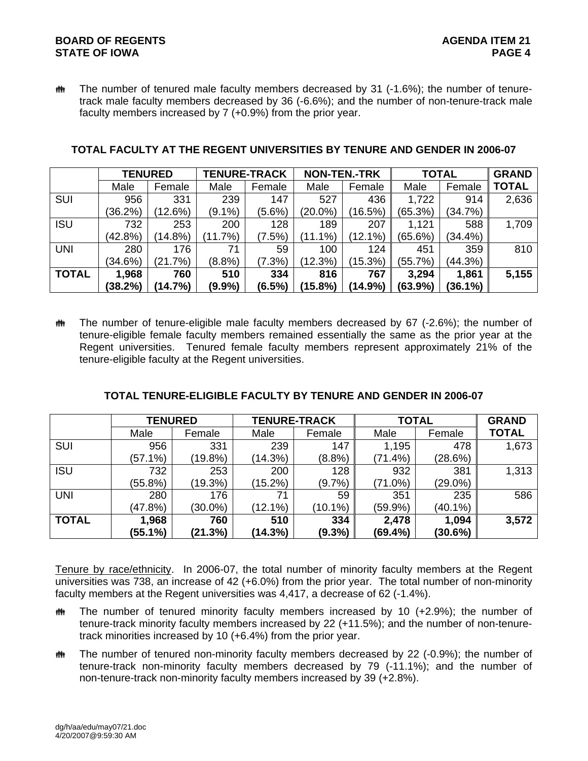# **BOARD OF REGENTS AGENDA ITEM 21 STATE OF IOWA**

 $m$  The number of tenured male faculty members decreased by 31 (-1.6%); the number of tenuretrack male faculty members decreased by 36 (-6.6%); and the number of non-tenure-track male faculty members increased by 7 (+0.9%) from the prior year.

|              |            | <b>TENURED</b> | <b>TENURE-TRACK</b> |           | <b>NON-TEN.-TRK</b> |            | <b>TOTAL</b> |            | <b>GRAND</b> |
|--------------|------------|----------------|---------------------|-----------|---------------------|------------|--------------|------------|--------------|
|              | Male       | Female         | Male                | Female    | Male                | Female     | Male         | Female     | <b>TOTAL</b> |
| <b>SUI</b>   | 956        | 331            | 239                 | 147       | 527                 | 436        | 1,722        | 914        | 2,636        |
|              | $(36.2\%)$ | (12.6%)        | $(9.1\%)$           | $(5.6\%)$ | $(20.0\%)$          | (16.5%)    | (65.3%)      | (34.7%)    |              |
| <b>ISU</b>   | 732        | 253            | 200                 | 128       | 189                 | 207        | 1,121        | 588        | 1,709        |
|              | (42.8%)    | $(14.8\%)$     | (11.7%)             | (7.5%)    | $(11.1\%)$          | $(12.1\%)$ | (65.6%)      | $(34.4\%)$ |              |
| <b>UNI</b>   | 280        | 176            | 71                  | 59        | 100                 | 124        | 451          | 359        | 810          |
|              | (34.6%)    | (21.7%)        | $(8.8\%)$           | (7.3%)    | (12.3%)             | (15.3%)    | (55.7%)      | (44.3%)    |              |
| <b>TOTAL</b> | 1,968      | 760            | 510                 | 334       | 816                 | 767        | 3,294        | 1,861      | 5,155        |
|              | (38.2%)    | (14.7%)        | $(9.9\%)$           | (6.5%)    | (15.8%)             | (14.9%)    | (63.9%)      | $(36.1\%)$ |              |

### **TOTAL FACULTY AT THE REGENT UNIVERSITIES BY TENURE AND GENDER IN 2006-07**

 $m$  The number of tenure-eligible male faculty members decreased by 67 (-2.6%); the number of tenure-eligible female faculty members remained essentially the same as the prior year at the Regent universities. Tenured female faculty members represent approximately 21% of the tenure-eligible faculty at the Regent universities.

|              | <b>TENURED</b> |            | <b>TENURE-TRACK</b> |            | <b>TOTAL</b> |            | <b>GRAND</b> |
|--------------|----------------|------------|---------------------|------------|--------------|------------|--------------|
|              | Male           | Female     | Male                | Female     | Male         | Female     | <b>TOTAL</b> |
| <b>SUI</b>   | 956            | 331        | 239                 | 147        | 1,195        | 478        | 1,673        |
|              | $(57.1\%)$     | (19.8%)    | (14.3%)             | $(8.8\%)$  | (71.4%)      | (28.6%)    |              |
| <b>ISU</b>   | 732            | 253        | 200                 | 128        | 932          | 381        | 1,313        |
|              | (55.8%)        | (19.3%)    | $(15.2\%)$          | (9.7%      | $(71.0\%)$   | $(29.0\%)$ |              |
| <b>UNI</b>   | 280            | 176        | 71                  | 59         | 351          | 235        | 586          |
|              | (47.8%)        | $(30.0\%)$ | $(12.1\%)$          | $(10.1\%)$ | (59.9%)      | $(40.1\%)$ |              |
| <b>TOTAL</b> | 1,968          | 760        | 510                 | 334        | 2,478        | 1,094      | 3,572        |
|              | (55.1%)        | (21.3%)    | (14.3%)             | $(9.3\%)$  | (69.4%)      | (30.6%)    |              |

#### **TOTAL TENURE-ELIGIBLE FACULTY BY TENURE AND GENDER IN 2006-07**

Tenure by race/ethnicity. In 2006-07, the total number of minority faculty members at the Regent universities was 738, an increase of 42 (+6.0%) from the prior year. The total number of non-minority faculty members at the Regent universities was 4,417, a decrease of 62 (-1.4%).

- $m$  The number of tenured minority faculty members increased by 10 (+2.9%); the number of tenure-track minority faculty members increased by 22 (+11.5%); and the number of non-tenuretrack minorities increased by 10 (+6.4%) from the prior year.
- $m$  The number of tenured non-minority faculty members decreased by 22 (-0.9%); the number of tenure-track non-minority faculty members decreased by 79 (-11.1%); and the number of non-tenure-track non-minority faculty members increased by 39 (+2.8%).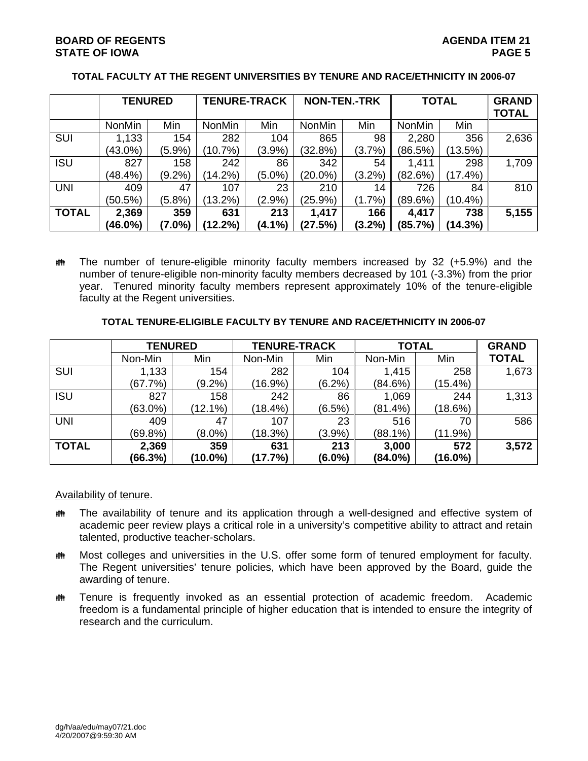# **BOARD OF REGENTS** AGENERAL BOARD OF REGENTS **STATE OF IOWA** PAGE 5

|              | <b>TENURED</b> |           | <b>TENURE-TRACK</b> |           | <b>NON-TEN.-TRK</b> |           | <b>TOTAL</b>  |            | <b>GRAND</b><br><b>TOTAL</b> |
|--------------|----------------|-----------|---------------------|-----------|---------------------|-----------|---------------|------------|------------------------------|
|              | <b>NonMin</b>  | Min       | <b>NonMin</b>       | Min       | <b>NonMin</b>       | Min       | <b>NonMin</b> | Min        |                              |
| <b>SUI</b>   | 1,133          | 154       | 282                 | 104       | 865                 | 98        | 2,280         | 356        | 2,636                        |
|              | $(43.0\%)$     | $(5.9\%)$ | (10.7%)             | $(3.9\%)$ | (32.8%)             | (3.7%)    | (86.5%)       | (13.5%)    |                              |
| <b>ISU</b>   | 827            | 158       | 242                 | 86        | 342                 | 54        | 1,411         | 298        | 1,709                        |
|              | (48.4%)        | $(9.2\%)$ | $(14.2\%)$          | $(5.0\%)$ | $(20.0\%)$          | (3.2%)    | (82.6%)       | (17.4%)    |                              |
| <b>UNI</b>   | 409            | 47        | 107                 | 23        | 210                 | 14        | 726           | 84         | 810                          |
|              | $(50.5\%)$     | $(5.8\%)$ | $(13.2\%)$          | $(2.9\%)$ | (25.9%)             | $(1.7\%)$ | $(89.6\%)$    | (10.4%)    |                              |
| <b>TOTAL</b> | 2,369          | 359       | 631                 | 213       | 1,417               | 166       | 4,417         | 738        | 5,155                        |
|              | (46.0%)        | $(7.0\%)$ | (12.2%)             | (4.1%)    | (27.5%)             | (3.2%)    | (85.7%)       | $(14.3\%)$ |                              |

### **TOTAL FACULTY AT THE REGENT UNIVERSITIES BY TENURE AND RACE/ETHNICITY IN 2006-07**

 $\ddot{\mathbf{m}}$  The number of tenure-eligible minority faculty members increased by 32 (+5.9%) and the number of tenure-eligible non-minority faculty members decreased by 101 (-3.3%) from the prior year. Tenured minority faculty members represent approximately 10% of the tenure-eligible faculty at the Regent universities.

### **TOTAL TENURE-ELIGIBLE FACULTY BY TENURE AND RACE/ETHNICITY IN 2006-07**

|              | <b>TENURED</b> |            | <b>TENURE-TRACK</b> |           | <b>TOTAL</b> |            | <b>GRAND</b> |
|--------------|----------------|------------|---------------------|-----------|--------------|------------|--------------|
|              | Non-Min        | Min        | Non-Min             | Min       | Non-Min      | Min        | <b>TOTAL</b> |
| SUI          | 1,133          | 154        | 282                 | 104       | 1,415        | 258        | 1,673        |
|              | (67.7%)        | $(9.2\%)$  | $(16.9\%)$          | $(6.2\%)$ | (84.6%)      | $(15.4\%)$ |              |
| <b>ISU</b>   | 827            | 158        | 242                 | 86        | 1,069        | 244        | 1,313        |
|              | $(63.0\%)$     | $(12.1\%)$ | $(18.4\%)$          | $(6.5\%)$ | (81.4%)      | (18.6%)    |              |
| <b>UNI</b>   | 409            | 47         | 107                 | 23        | 516          | 70         | 586          |
|              | $(69.8\%)$     | $(8.0\%)$  | (18.3%)             | (3.9%)    | $(88.1\%)$   | (11.9%)    |              |
| <b>TOTAL</b> | 2,369          | 359        | 631                 | 213       | 3,000        | 572        | 3,572        |
|              | (66.3%)        | $(10.0\%)$ | (17.7%)             | $(6.0\%)$ | $(84.0\%)$   | $(16.0\%)$ |              |

#### Availability of tenure.

- $m$  The availability of tenure and its application through a well-designed and effective system of academic peer review plays a critical role in a university's competitive ability to attract and retain talented, productive teacher-scholars.
- **\*\*\*** Most colleges and universities in the U.S. offer some form of tenured employment for faculty. The Regent universities' tenure policies, which have been approved by the Board, guide the awarding of tenure.
- **\*\*** Tenure is frequently invoked as an essential protection of academic freedom. Academic freedom is a fundamental principle of higher education that is intended to ensure the integrity of research and the curriculum.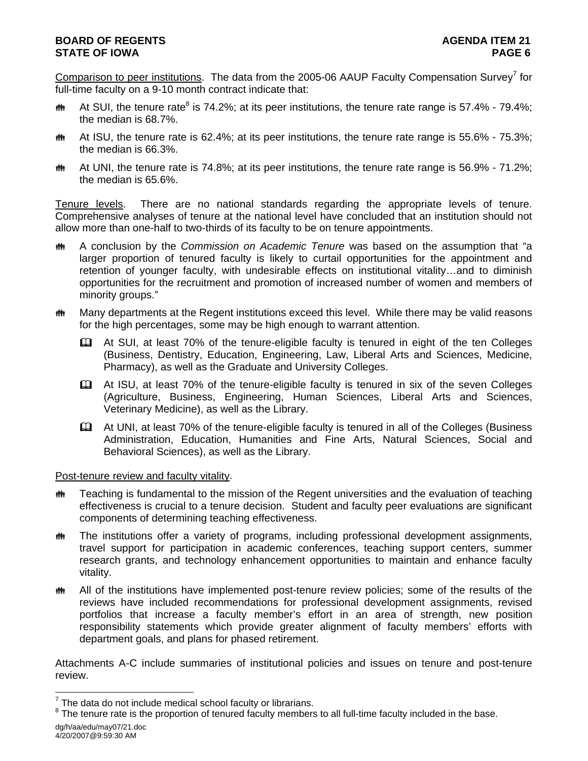# **BOARD OF REGENTS** AGENER AGENER AGENER 21 **STATE OF IOWA PAGE 6**

Comparison to peer institutions. The data from the 2005-06 AAUP Faculty Compensation Survey<sup>7</sup> for full-time faculty on a 9-10 month contract indicate that:

- **Mand At SUI**, the tenure rate<sup>8</sup> is 74.2%; at its peer institutions, the tenure rate range is 57.4% 79.4%; the median is 68.7%.
- $m$  At ISU, the tenure rate is 62.4%; at its peer institutions, the tenure rate range is 55.6% 75.3%; the median is 66.3%.
- $\ddot{\mathbf{m}}$  At UNI, the tenure rate is 74.8%; at its peer institutions, the tenure rate range is 56.9% 71.2%; the median is 65.6%.

Tenure levels. There are no national standards regarding the appropriate levels of tenure. Comprehensive analyses of tenure at the national level have concluded that an institution should not allow more than one-half to two-thirds of its faculty to be on tenure appointments.

- **th** A conclusion by the *Commission on Academic Tenure* was based on the assumption that "a larger proportion of tenured faculty is likely to curtail opportunities for the appointment and retention of younger faculty, with undesirable effects on institutional vitality…and to diminish opportunities for the recruitment and promotion of increased number of women and members of minority groups."
- $m$  Many departments at the Regent institutions exceed this level. While there may be valid reasons for the high percentages, some may be high enough to warrant attention.
	- At SUI, at least 70% of the tenure-eligible faculty is tenured in eight of the ten Colleges (Business, Dentistry, Education, Engineering, Law, Liberal Arts and Sciences, Medicine, Pharmacy), as well as the Graduate and University Colleges.
	- At ISU, at least 70% of the tenure-eligible faculty is tenured in six of the seven Colleges (Agriculture, Business, Engineering, Human Sciences, Liberal Arts and Sciences, Veterinary Medicine), as well as the Library.
	- At UNI, at least 70% of the tenure-eligible faculty is tenured in all of the Colleges (Business Administration, Education, Humanities and Fine Arts, Natural Sciences, Social and Behavioral Sciences), as well as the Library.

### Post-tenure review and faculty vitality.

- $m$  Teaching is fundamental to the mission of the Regent universities and the evaluation of teaching effectiveness is crucial to a tenure decision. Student and faculty peer evaluations are significant components of determining teaching effectiveness.
- $m$  The institutions offer a variety of programs, including professional development assignments, travel support for participation in academic conferences, teaching support centers, summer research grants, and technology enhancement opportunities to maintain and enhance faculty vitality.
- **the All of the institutions have implemented post-tenure review policies; some of the results of the** reviews have included recommendations for professional development assignments, revised portfolios that increase a faculty member's effort in an area of strength, new position responsibility statements which provide greater alignment of faculty members' efforts with department goals, and plans for phased retirement.

Attachments A-C include summaries of institutional policies and issues on tenure and post-tenure review.

dg/h/aa/edu/may07/21.doc 4/20/2007@9:59:30 AM

 7 The data do not include medical school faculty or librarians.

 $8$  The tenure rate is the proportion of tenured faculty members to all full-time faculty included in the base.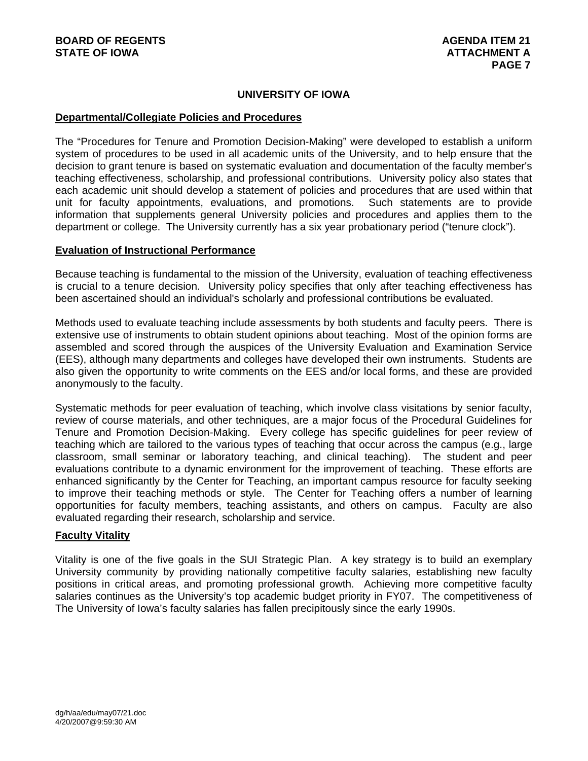# **UNIVERSITY OF IOWA**

### **Departmental/Collegiate Policies and Procedures**

The "Procedures for Tenure and Promotion Decision-Making" were developed to establish a uniform system of procedures to be used in all academic units of the University, and to help ensure that the decision to grant tenure is based on systematic evaluation and documentation of the faculty member's teaching effectiveness, scholarship, and professional contributions. University policy also states that each academic unit should develop a statement of policies and procedures that are used within that unit for faculty appointments, evaluations, and promotions. Such statements are to provide information that supplements general University policies and procedures and applies them to the department or college. The University currently has a six year probationary period ("tenure clock").

#### **Evaluation of Instructional Performance**

Because teaching is fundamental to the mission of the University, evaluation of teaching effectiveness is crucial to a tenure decision. University policy specifies that only after teaching effectiveness has been ascertained should an individual's scholarly and professional contributions be evaluated.

Methods used to evaluate teaching include assessments by both students and faculty peers. There is extensive use of instruments to obtain student opinions about teaching. Most of the opinion forms are assembled and scored through the auspices of the University Evaluation and Examination Service (EES), although many departments and colleges have developed their own instruments. Students are also given the opportunity to write comments on the EES and/or local forms, and these are provided anonymously to the faculty.

Systematic methods for peer evaluation of teaching, which involve class visitations by senior faculty, review of course materials, and other techniques, are a major focus of the Procedural Guidelines for Tenure and Promotion Decision-Making. Every college has specific guidelines for peer review of teaching which are tailored to the various types of teaching that occur across the campus (e.g., large classroom, small seminar or laboratory teaching, and clinical teaching). The student and peer evaluations contribute to a dynamic environment for the improvement of teaching. These efforts are enhanced significantly by the Center for Teaching, an important campus resource for faculty seeking to improve their teaching methods or style. The Center for Teaching offers a number of learning opportunities for faculty members, teaching assistants, and others on campus. Faculty are also evaluated regarding their research, scholarship and service.

#### **Faculty Vitality**

Vitality is one of the five goals in the SUI Strategic Plan. A key strategy is to build an exemplary University community by providing nationally competitive faculty salaries, establishing new faculty positions in critical areas, and promoting professional growth. Achieving more competitive faculty salaries continues as the University's top academic budget priority in FY07. The competitiveness of The University of Iowa's faculty salaries has fallen precipitously since the early 1990s.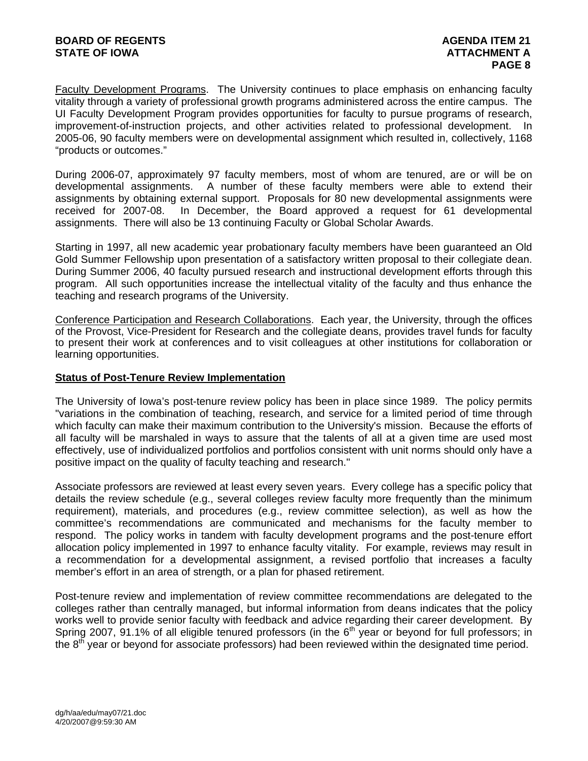Faculty Development Programs. The University continues to place emphasis on enhancing faculty vitality through a variety of professional growth programs administered across the entire campus. The UI Faculty Development Program provides opportunities for faculty to pursue programs of research, improvement-of-instruction projects, and other activities related to professional development. In 2005-06, 90 faculty members were on developmental assignment which resulted in, collectively, 1168 "products or outcomes."

During 2006-07, approximately 97 faculty members, most of whom are tenured, are or will be on developmental assignments. A number of these faculty members were able to extend their assignments by obtaining external support. Proposals for 80 new developmental assignments were received for 2007-08. In December, the Board approved a request for 61 developmental assignments. There will also be 13 continuing Faculty or Global Scholar Awards.

Starting in 1997, all new academic year probationary faculty members have been guaranteed an Old Gold Summer Fellowship upon presentation of a satisfactory written proposal to their collegiate dean. During Summer 2006, 40 faculty pursued research and instructional development efforts through this program. All such opportunities increase the intellectual vitality of the faculty and thus enhance the teaching and research programs of the University.

Conference Participation and Research Collaborations. Each year, the University, through the offices of the Provost, Vice-President for Research and the collegiate deans, provides travel funds for faculty to present their work at conferences and to visit colleagues at other institutions for collaboration or learning opportunities.

### **Status of Post-Tenure Review Implementation**

The University of Iowa's post-tenure review policy has been in place since 1989. The policy permits "variations in the combination of teaching, research, and service for a limited period of time through which faculty can make their maximum contribution to the University's mission. Because the efforts of all faculty will be marshaled in ways to assure that the talents of all at a given time are used most effectively, use of individualized portfolios and portfolios consistent with unit norms should only have a positive impact on the quality of faculty teaching and research."

Associate professors are reviewed at least every seven years. Every college has a specific policy that details the review schedule (e.g., several colleges review faculty more frequently than the minimum requirement), materials, and procedures (e.g., review committee selection), as well as how the committee's recommendations are communicated and mechanisms for the faculty member to respond. The policy works in tandem with faculty development programs and the post-tenure effort allocation policy implemented in 1997 to enhance faculty vitality. For example, reviews may result in a recommendation for a developmental assignment, a revised portfolio that increases a faculty member's effort in an area of strength, or a plan for phased retirement.

Post-tenure review and implementation of review committee recommendations are delegated to the colleges rather than centrally managed, but informal information from deans indicates that the policy works well to provide senior faculty with feedback and advice regarding their career development. By Spring 2007, 91.1% of all eligible tenured professors (in the  $6<sup>th</sup>$  year or beyond for full professors; in the  $8<sup>th</sup>$  year or beyond for associate professors) had been reviewed within the designated time period.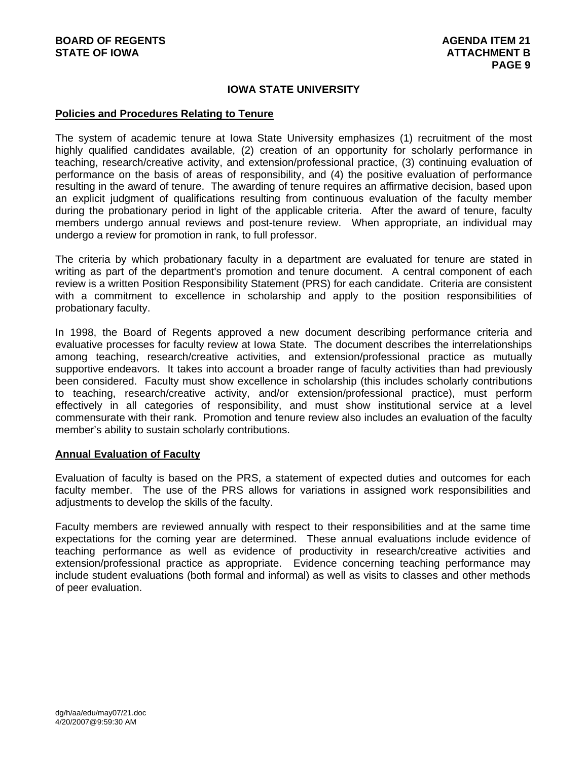### **IOWA STATE UNIVERSITY**

#### **Policies and Procedures Relating to Tenure**

The system of academic tenure at Iowa State University emphasizes (1) recruitment of the most highly qualified candidates available, (2) creation of an opportunity for scholarly performance in teaching, research/creative activity, and extension/professional practice, (3) continuing evaluation of performance on the basis of areas of responsibility, and (4) the positive evaluation of performance resulting in the award of tenure. The awarding of tenure requires an affirmative decision, based upon an explicit judgment of qualifications resulting from continuous evaluation of the faculty member during the probationary period in light of the applicable criteria. After the award of tenure, faculty members undergo annual reviews and post-tenure review. When appropriate, an individual may undergo a review for promotion in rank, to full professor.

The criteria by which probationary faculty in a department are evaluated for tenure are stated in writing as part of the department's promotion and tenure document. A central component of each review is a written Position Responsibility Statement (PRS) for each candidate. Criteria are consistent with a commitment to excellence in scholarship and apply to the position responsibilities of probationary faculty.

In 1998, the Board of Regents approved a new document describing performance criteria and evaluative processes for faculty review at Iowa State. The document describes the interrelationships among teaching, research/creative activities, and extension/professional practice as mutually supportive endeavors. It takes into account a broader range of faculty activities than had previously been considered. Faculty must show excellence in scholarship (this includes scholarly contributions to teaching, research/creative activity, and/or extension/professional practice), must perform effectively in all categories of responsibility, and must show institutional service at a level commensurate with their rank. Promotion and tenure review also includes an evaluation of the faculty member's ability to sustain scholarly contributions.

#### **Annual Evaluation of Faculty**

Evaluation of faculty is based on the PRS, a statement of expected duties and outcomes for each faculty member. The use of the PRS allows for variations in assigned work responsibilities and adjustments to develop the skills of the faculty.

Faculty members are reviewed annually with respect to their responsibilities and at the same time expectations for the coming year are determined. These annual evaluations include evidence of teaching performance as well as evidence of productivity in research/creative activities and extension/professional practice as appropriate. Evidence concerning teaching performance may include student evaluations (both formal and informal) as well as visits to classes and other methods of peer evaluation.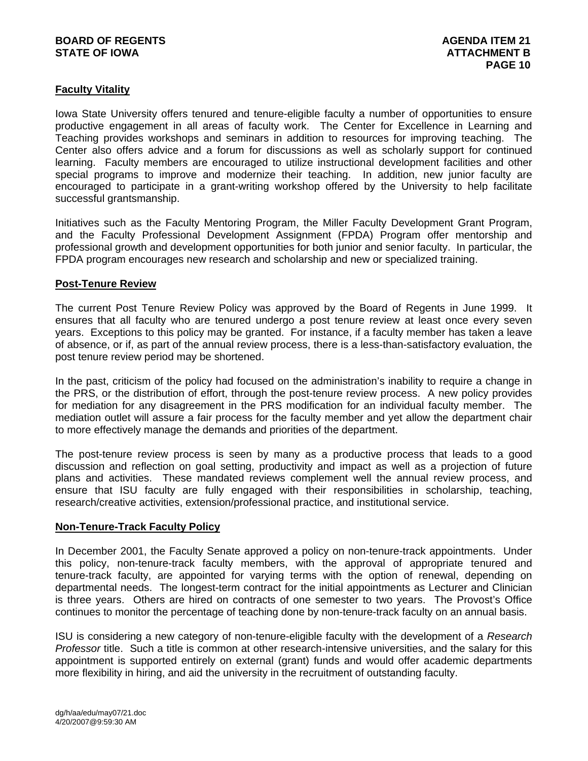### **BOARD OF REGENTS AGENERAL LIGHT AGENDA ITEM 21 STATE OF IOWA** AND **ATTACHMENT B**

# **Faculty Vitality**

Iowa State University offers tenured and tenure-eligible faculty a number of opportunities to ensure productive engagement in all areas of faculty work. The Center for Excellence in Learning and Teaching provides workshops and seminars in addition to resources for improving teaching. The Center also offers advice and a forum for discussions as well as scholarly support for continued learning. Faculty members are encouraged to utilize instructional development facilities and other special programs to improve and modernize their teaching. In addition, new junior faculty are encouraged to participate in a grant-writing workshop offered by the University to help facilitate successful grantsmanship.

Initiatives such as the Faculty Mentoring Program, the Miller Faculty Development Grant Program, and the Faculty Professional Development Assignment (FPDA) Program offer mentorship and professional growth and development opportunities for both junior and senior faculty. In particular, the FPDA program encourages new research and scholarship and new or specialized training.

#### **Post-Tenure Review**

The current Post Tenure Review Policy was approved by the Board of Regents in June 1999. It ensures that all faculty who are tenured undergo a post tenure review at least once every seven years. Exceptions to this policy may be granted. For instance, if a faculty member has taken a leave of absence, or if, as part of the annual review process, there is a less-than-satisfactory evaluation, the post tenure review period may be shortened.

In the past, criticism of the policy had focused on the administration's inability to require a change in the PRS, or the distribution of effort, through the post-tenure review process. A new policy provides for mediation for any disagreement in the PRS modification for an individual faculty member. The mediation outlet will assure a fair process for the faculty member and yet allow the department chair to more effectively manage the demands and priorities of the department.

The post-tenure review process is seen by many as a productive process that leads to a good discussion and reflection on goal setting, productivity and impact as well as a projection of future plans and activities. These mandated reviews complement well the annual review process, and ensure that ISU faculty are fully engaged with their responsibilities in scholarship, teaching, research/creative activities, extension/professional practice, and institutional service.

#### **Non-Tenure-Track Faculty Policy**

In December 2001, the Faculty Senate approved a policy on non-tenure-track appointments. Under this policy, non-tenure-track faculty members, with the approval of appropriate tenured and tenure-track faculty, are appointed for varying terms with the option of renewal, depending on departmental needs. The longest-term contract for the initial appointments as Lecturer and Clinician is three years. Others are hired on contracts of one semester to two years. The Provost's Office continues to monitor the percentage of teaching done by non-tenure-track faculty on an annual basis.

ISU is considering a new category of non-tenure-eligible faculty with the development of a *Research Professor* title. Such a title is common at other research-intensive universities, and the salary for this appointment is supported entirely on external (grant) funds and would offer academic departments more flexibility in hiring, and aid the university in the recruitment of outstanding faculty.